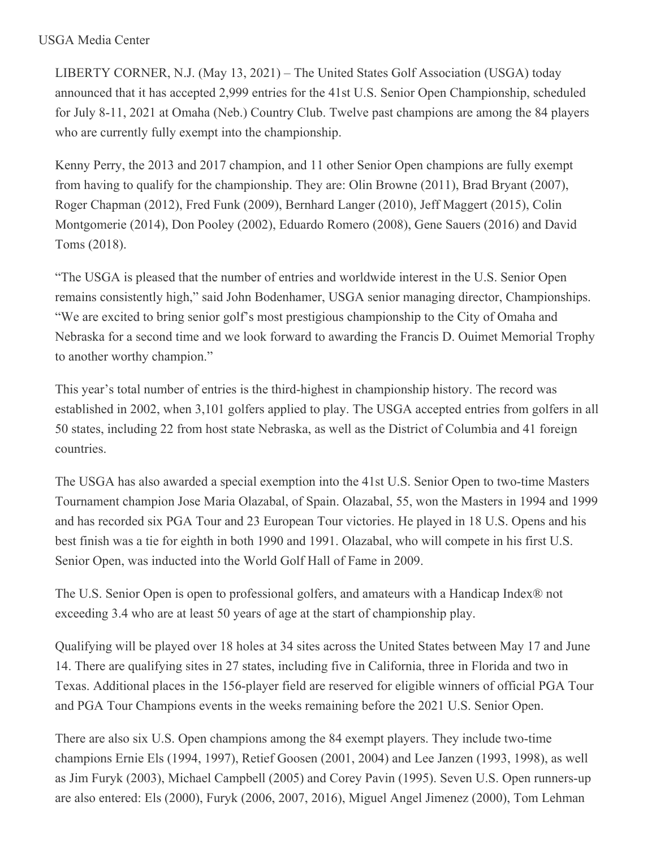## USGA Media Center

LIBERTY CORNER, N.J. (May 13, 2021) – The United States Golf Association (USGA) today announced that it has accepted 2,999 entries for the 41st U.S. Senior Open Championship, scheduled for July 8-11, 2021 at Omaha (Neb.) Country Club. Twelve past champions are among the 84 players who are currently fully exempt into the championship.

Kenny Perry, the 2013 and 2017 champion, and 11 other Senior Open champions are fully exempt from having to qualify for the championship. They are: Olin Browne (2011), Brad Bryant (2007), Roger Chapman (2012), Fred Funk (2009), Bernhard Langer (2010), Jeff Maggert (2015), Colin Montgomerie (2014), Don Pooley (2002), Eduardo Romero (2008), Gene Sauers (2016) and David Toms (2018).

"The USGA is pleased that the number of entries and worldwide interest in the U.S. Senior Open remains consistently high," said John Bodenhamer, USGA senior managing director, Championships. "We are excited to bring senior golf's most prestigious championship to the City of Omaha and Nebraska for a second time and we look forward to awarding the Francis D. Ouimet Memorial Trophy to another worthy champion."

This year's total number of entries is the third-highest in championship history. The record was established in 2002, when 3,101 golfers applied to play. The USGA accepted entries from golfers in all 50 states, including 22 from host state Nebraska, as well as the District of Columbia and 41 foreign countries.

The USGA has also awarded a special exemption into the 41st U.S. Senior Open to two-time Masters Tournament champion Jose Maria Olazabal, of Spain. Olazabal, 55, won the Masters in 1994 and 1999 and has recorded six PGA Tour and 23 European Tour victories. He played in 18 U.S. Opens and his best finish was a tie for eighth in both 1990 and 1991. Olazabal, who will compete in his first U.S. Senior Open, was inducted into the World Golf Hall of Fame in 2009.

The U.S. Senior Open is open to professional golfers, and amateurs with a Handicap Index® not exceeding 3.4 who are at least 50 years of age at the start of championship play.

Qualifying will be played over 18 holes at 34 sites across the United States between May 17 and June 14. There are qualifying sites in 27 states, including five in California, three in Florida and two in Texas. Additional places in the 156-player field are reserved for eligible winners of official PGA Tour and PGA Tour Champions events in the weeks remaining before the 2021 U.S. Senior Open.

There are also six U.S. Open champions among the 84 exempt players. They include two-time champions Ernie Els (1994, 1997), Retief Goosen (2001, 2004) and Lee Janzen (1993, 1998), as well as Jim Furyk (2003), Michael Campbell (2005) and Corey Pavin (1995). Seven U.S. Open runners-up are also entered: Els (2000), Furyk (2006, 2007, 2016), Miguel Angel Jimenez (2000), Tom Lehman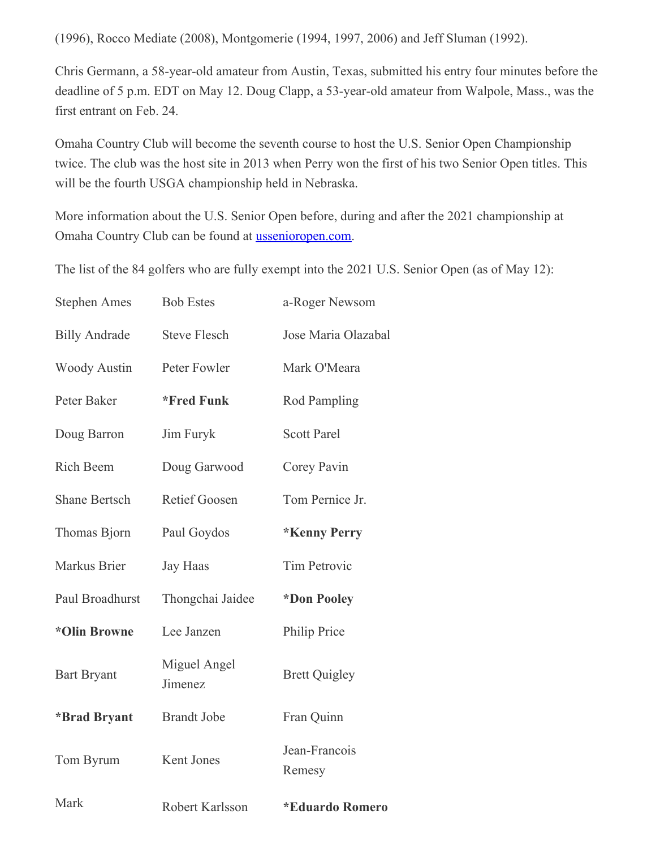(1996), Rocco Mediate (2008), Montgomerie (1994, 1997, 2006) and Jeff Sluman (1992).

Chris Germann, a 58-year-old amateur from Austin, Texas, submitted his entry four minutes before the deadline of 5 p.m. EDT on May 12. Doug Clapp, a 53-year-old amateur from Walpole, Mass., was the first entrant on Feb. 24.

Omaha Country Club will become the seventh course to host the U.S. Senior Open Championship twice. The club was the host site in 2013 when Perry won the first of his two Senior Open titles. This will be the fourth USGA championship held in Nebraska.

More information about the U.S. Senior Open before, during and after the 2021 championship at Omaha Country Club can be found at [ussenioropen.com](https://nam12.safelinks.protection.outlook.com/?url=https%3A%2F%2Fu7061146.ct.sendgrid.net%2Fls%2Fclick%3Fupn%3DTeZUXWpUv-2B6TCY38pVLo9vJHqsinp5Na6hNIRZgBj4OYv3RpEBFOeDW8lkKQUq-2Buf6Yc_HSsC7-2BnYo6RFmdvmB8WxSwPfE5OKbL5GHwHc1Y4nlbMfxpPvmPmfuu2pbjSm-2FJs4CiDN-2BBwjEJj52CmYHMQwaCWnsJm7liBkUH3XLI0NRB0UyJGU2H6rU9tq6OyewvgT-2BGGU57dC-2BwxvzRY7-2F-2BwrSp4NAsphgPOaUpEGws64y1jJTqEx0Y13gbMRGuiK5jSjyXr0ZxESrUfS1mCoD037anUKHu2Hi-2BdBjBNO2-2BHeQZZojiSZmmO99-2B2aooA8BrQwJFHHj2e5L7TiCaT3eU1J67hMFlA1Eu7tYz2Ibx6AWCNkn0Z-2FhOozZQLBRxAl-2BvP-2B3qB7MSTiv0bjMoYfFBpvvA-3D-3D&data=04%7C01%7Cjgeske%40usga.org%7C332f67de13ba415200a808d9161ff5f6%7C17abf7083a064391bdbd06808d1b9f81%7C0%7C0%7C637565148870805322%7CUnknown%7CTWFpbGZsb3d8eyJWIjoiMC4wLjAwMDAiLCJQIjoiV2luMzIiLCJBTiI6Ik1haWwiLCJXVCI6Mn0%3D%7C1000&sdata=rZ37qpbJJYPwrhvV5pjSivcQPQh6l7jsi4m0KMNmNjo%3D&reserved=0).

The list of the 84 golfers who are fully exempt into the 2021 U.S. Senior Open (as of May 12):

| <b>Stephen Ames</b>  | <b>Bob Estes</b>        | a-Roger Newsom                |
|----------------------|-------------------------|-------------------------------|
| <b>Billy Andrade</b> | <b>Steve Flesch</b>     | Jose Maria Olazabal           |
| <b>Woody Austin</b>  | Peter Fowler            | Mark O'Meara                  |
| Peter Baker          | *Fred Funk              | <b>Rod Pampling</b>           |
| Doug Barron          | Jim Furyk               | <b>Scott Parel</b>            |
| Rich Beem            | Doug Garwood            | Corey Pavin                   |
| <b>Shane Bertsch</b> | <b>Retief Goosen</b>    | Tom Pernice Jr.               |
| Thomas Bjorn         | Paul Goydos             | *Kenny Perry                  |
| Markus Brier         | <b>Jay Haas</b>         | <b>Tim Petrovic</b>           |
| Paul Broadhurst      | Thongchai Jaidee        | *Don Pooley                   |
| *Olin Browne         | Lee Janzen              | Philip Price                  |
| <b>Bart Bryant</b>   | Miguel Angel<br>Jimenez | <b>Brett Quigley</b>          |
| *Brad Bryant         | <b>Brandt Jobe</b>      | Fran Quinn                    |
| Tom Byrum            | Kent Jones              | Jean-Francois<br>Remesy       |
| Mark                 | Robert Karlsson         | <i><b>*Eduardo Romero</b></i> |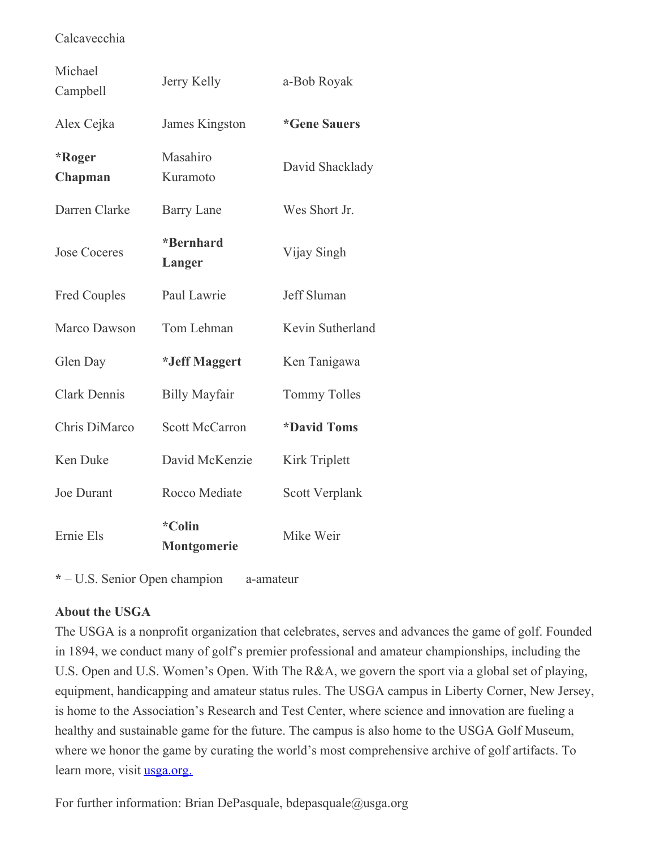## Calcavecchia

| Michael<br>Campbell | Jerry Kelly           | a-Bob Royak                |
|---------------------|-----------------------|----------------------------|
| Alex Cejka          | James Kingston        | <i><b>*Gene Sauers</b></i> |
| *Roger<br>Chapman   | Masahiro<br>Kuramoto  | David Shacklady            |
| Darren Clarke       | <b>Barry Lane</b>     | Wes Short Jr.              |
| <b>Jose Coceres</b> | *Bernhard<br>Langer   | Vijay Singh                |
| <b>Fred Couples</b> | Paul Lawrie           | <b>Jeff Sluman</b>         |
| Marco Dawson        | Tom Lehman            | Kevin Sutherland           |
| Glen Day            | *Jeff Maggert         | Ken Tanigawa               |
| <b>Clark Dennis</b> | <b>Billy Mayfair</b>  | <b>Tommy Tolles</b>        |
| Chris DiMarco       | <b>Scott McCarron</b> | <i><b>*David Toms</b></i>  |
| <b>Ken Duke</b>     | David McKenzie        | <b>Kirk Triplett</b>       |
| <b>Joe Durant</b>   | Rocco Mediate         | Scott Verplank             |
| Ernie Els           | *Colin<br>Montgomerie | Mike Weir                  |

**\*** – U.S. Senior Open champion a-amateur

## **About the USGA**

The USGA is a nonprofit organization that celebrates, serves and advances the game of golf. Founded in 1894, we conduct many of golf's premier professional and amateur championships, including the U.S. Open and U.S. Women's Open. With The R&A, we govern the sport via a global set of playing, equipment, handicapping and amateur status rules. The USGA campus in Liberty Corner, New Jersey, is home to the Association's Research and Test Center, where science and innovation are fueling a healthy and sustainable game for the future. The campus is also home to the USGA Golf Museum, where we honor the game by curating the world's most comprehensive archive of golf artifacts. To learn more, visit <u>[usga.org.](https://nam12.safelinks.protection.outlook.com/?url=https%3A%2F%2Fu7061146.ct.sendgrid.net%2Fls%2Fclick%3Fupn%3D4tNED-2FM8iDZJQyQ53jATUckPw-2BG0yLRy26nJ5jrR57IcqzHANnHDjOcQhrs7kU1rdfbTCvZyz52hltmdgUjUlet4hfVpkun6bUfLWb5Z2DHLBmgQ84HgJFsgZiTqRZEuzbpih7FsBh6rcjedQf8fAY-2B4yUTAVxHp2I-2BbHXUxwSlJGBtDZJin8T8juSRTt8cREZgdMcTLaCI6w-2Bi-2F9-2F7PE2yQREsmc2gy4RmJK1eXLVaNYlok7LCSDcRLbtfoln8bgb8ewcE6HppuS6uFTeM8xgtc1zD3sySdj0Jo2Vg46oTl26kGVZVMRbFE51-2FeBj0PvJht4yVFXk7EIeVPf0d9cVWCOIaZonYDY7RyqyytGcEWQDQWqrD81V6mDS9-2FTpzVlZ2KQls5WeO1QZXFw74THA-3D-3DccKm_HSsC7-2BnYo6RFmdvmB8WxSwPfE5OKbL5GHwHc1Y4nlbMfxpPvmPmfuu2pbjSm-2FJs4CiDN-2BBwjEJj52CmYHMQwaCWnsJm7liBkUH3XLI0NRB0UyJGU2H6rU9tq6OyewvgT-2BGGU57dC-2BwxvzRY7-2F-2BwrSp4NAsphgPOaUpEGws64y1jJTqEx0Y13gbMRGuiK5jSjGfcFkkguBUkHlAFuVeY-2F5ZCJSJyNUz-2Bo5oy8s-2B3K1TV2u0HsNb-2BT-2Bm43g4MSS1-2Fm8v06hUC72vVb6VUoTou8fxq90gC3-2FEn0lf-2Bbjk-2Bi-2FZjyA39JYN4ac-2F9dnuipny56ItZzmxEulkaKKcF9jY2-2FiQ-3D-3D&data=04%7C01%7Cjgeske%40usga.org%7C332f67de13ba415200a808d9161ff5f6%7C17abf7083a064391bdbd06808d1b9f81%7C0%7C0%7C637565148870815320%7CUnknown%7CTWFpbGZsb3d8eyJWIjoiMC4wLjAwMDAiLCJQIjoiV2luMzIiLCJBTiI6Ik1haWwiLCJXVCI6Mn0%3D%7C1000&sdata=r7LHZAUSZjny%2BzQG%2F1lICMjGPdMVnhfTBMom4cybGIs%3D&reserved=0)</u>

For further information: Brian DePasquale, bdepasquale@usga.org